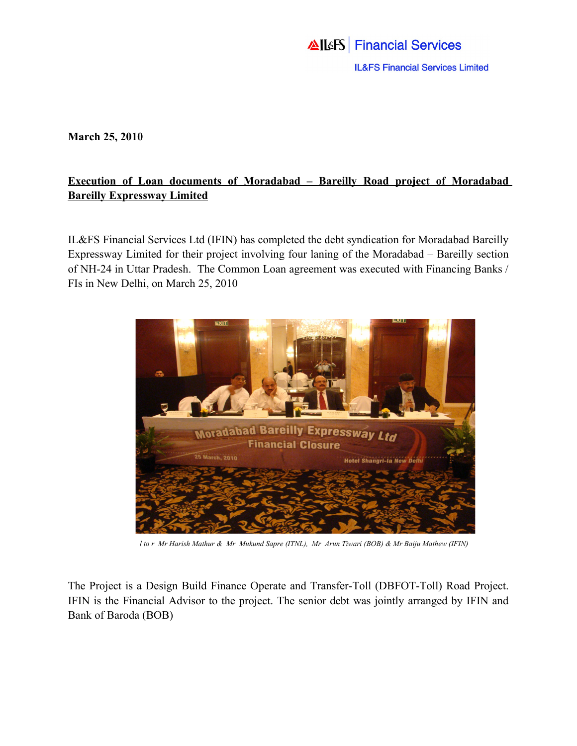## **AllsFS** Financial Services **IL&FS Financial Services Limited**

**March 25, 2010**

## **Execution of Loan documents of Moradabad – Bareilly Road project of Moradabad Bareilly Expressway Limited**

IL&FS Financial Services Ltd (IFIN) has completed the debt syndication for Moradabad Bareilly Expressway Limited for their project involving four laning of the Moradabad – Bareilly section of NH-24 in Uttar Pradesh. The Common Loan agreement was executed with Financing Banks / FIs in New Delhi, on March 25, 2010



 *l to r Mr Harish Mathur & Mr Mukund Sapre (ITNL), Mr Arun Tiwari (BOB) & Mr Baiju Mathew (IFIN)*

The Project is a Design Build Finance Operate and Transfer-Toll (DBFOT-Toll) Road Project. IFIN is the Financial Advisor to the project. The senior debt was jointly arranged by IFIN and Bank of Baroda (BOB)